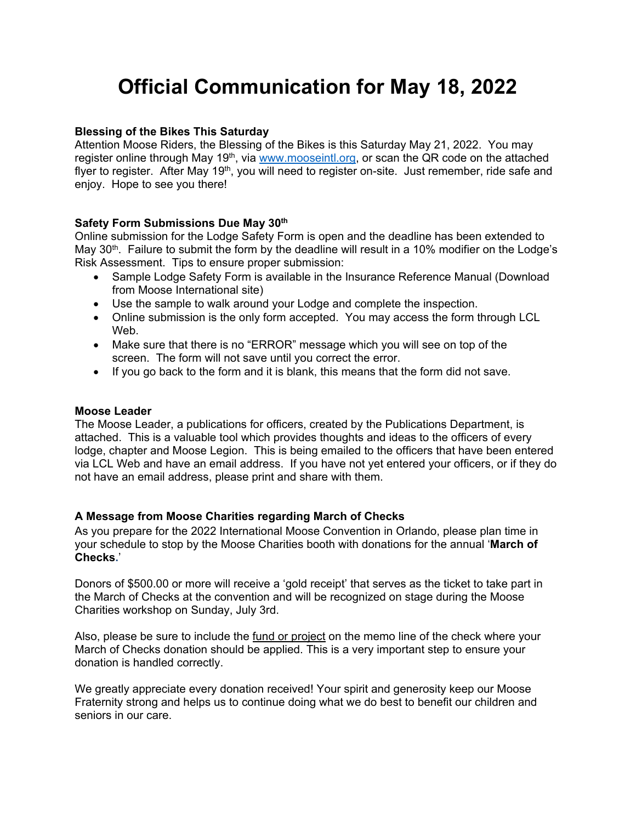# **Official Communication for May 18, 2022**

## **Blessing of the Bikes This Saturday**

Attention Moose Riders, the Blessing of the Bikes is this Saturday May 21, 2022. You may register online through May 19<sup>th</sup>, via www.mooseintl.org, or scan the QR code on the attached flyer to register. After May 19<sup>th</sup>, you will need to register on-site. Just remember, ride safe and enjoy. Hope to see you there!

## **Safety Form Submissions Due May 30th**

Online submission for the Lodge Safety Form is open and the deadline has been extended to May  $30<sup>th</sup>$ . Failure to submit the form by the deadline will result in a 10% modifier on the Lodge's Risk Assessment. Tips to ensure proper submission:

- Sample Lodge Safety Form is available in the Insurance Reference Manual (Download from Moose International site)
- Use the sample to walk around your Lodge and complete the inspection.
- Online submission is the only form accepted. You may access the form through LCL Web.
- Make sure that there is no "ERROR" message which you will see on top of the screen. The form will not save until you correct the error.
- If you go back to the form and it is blank, this means that the form did not save.

## **Moose Leader**

The Moose Leader, a publications for officers, created by the Publications Department, is attached. This is a valuable tool which provides thoughts and ideas to the officers of every lodge, chapter and Moose Legion. This is being emailed to the officers that have been entered via LCL Web and have an email address. If you have not yet entered your officers, or if they do not have an email address, please print and share with them.

# **A Message from Moose Charities regarding March of Checks**

As you prepare for the 2022 International Moose Convention in Orlando, please plan time in your schedule to stop by the Moose Charities booth with donations for the annual '**March of Checks.**'

Donors of \$500.00 or more will receive a 'gold receipt' that serves as the ticket to take part in the March of Checks at the convention and will be recognized on stage during the Moose Charities workshop on Sunday, July 3rd.

Also, please be sure to include the fund or project on the memo line of the check where your March of Checks donation should be applied. This is a very important step to ensure your donation is handled correctly.

We greatly appreciate every donation received! Your spirit and generosity keep our Moose Fraternity strong and helps us to continue doing what we do best to benefit our children and seniors in our care.